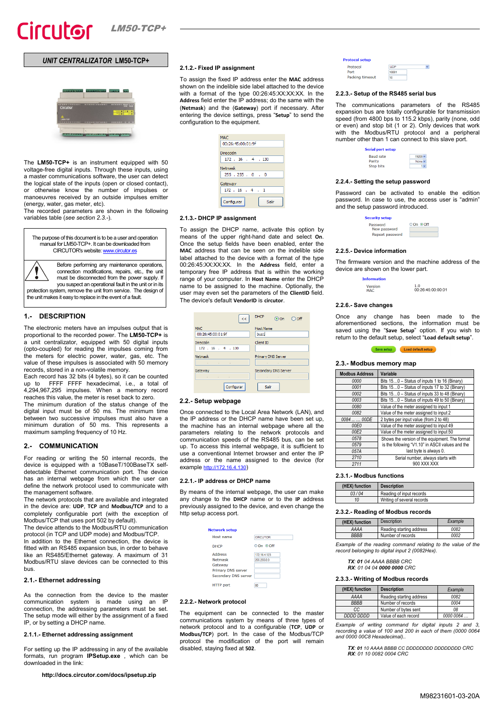# *UNIT CENTRALIZATOR* **LM50-TCP+**



The **LM50-TCP+** is an instrument equipped with 50 voltage-free digital inputs. Through these inputs, using a master communications software, the user can detect the logical state of the inputs (open or closed contact), or otherwise know the number of impulses or manoeuvres received by an outside impulses emitter (energy, water, gas meter, etc).

The recorded parameters are shown in the following variables table (*see sectio[n 2.3.-](#page-0-0)*).

| The purpose of this document is to be a user and operation<br>manual for LM50-TCP+. It can be downloaded from<br>CIRCUTOR's website: www.circutor.es |
|------------------------------------------------------------------------------------------------------------------------------------------------------|
| Before performing any maintenance operation<br>connection modifications, repairs, etc., the u<br>must be disconnected from the nower supply          |

Before performing any maintenance operations, connection modifications, repairs, etc., the unit must be disconnected from the power supply. If you suspect an operational fault in the unit or in its protection system, remove the unit from service. The design of

the unit makes it easy to replace in the event of a fault.

# **1.- DESCRIPTION**

The electronic meters have an impulses output that is proportional to the recorded power. The **LM50-TCP+** is a unit centralizator, equipped with 50 digital inputs (opto-coupled) for reading the impulses coming from the meters for electric power, water, gas, etc. The value of these impulses is associated with 50 memory records, stored in a non-volatile memory.

Each record has 32 bits (4 bytes), so it can be counted up to FFFF FFFF hexadecimal, i.e., a total of 4,294,967,295 impulses. When a memory record reaches this value, the meter is reset back to zero. The minimum duration of the status change of the digital input must be of 50 ms. The minimum time between two successive impulses must also have a minimum duration of 50 ms. This represents a maximum sampling frequency of 10 Hz.

#### **2.- COMMUNICATION**

For reading or writing the 50 internal records, the device is equipped with a 10BaseT/100BaseTX selfdetectable Ethernet communication port. The device has an internal webpage from which the user can define the network protocol used to communicate with the management software.

The network protocols that are available and integrated in the device are: **UDP**, **TCP** and **Modbus/TCP** and to a completely configurable port (with the exception of Modbus/TCP that uses port 502 by default).

The device attends to the Modbus/RTU communication protocol (in TCP and UDP mode) and Modbus/TCP. In addition to the Ethernet connection, the device is

fitted with an RS485 expansion bus, in order to behave like an RS485/Ethernet gateway. A maximum of 31 Modbus/RTU slave devices can be connected to this bus.

### **2.1.- Ethernet addressing**

As the connection from the device to the master communication system is made using an IP connection, the addressing parameters must be set. The setup mode will either by the assignment of a fixed IP, or by setting a DHCP name.

### **2.1.1.- Ethernet addressing assignment**

For setting up the IP addressing in any of the available formats, run program **IPSetup.exe** , which can be downloaded in the link:

| 2.1.2.- Fixed IP assignment |  |
|-----------------------------|--|
|-----------------------------|--|

To assign the fixed IP address enter the **MAC** address shown on the indelible side label attached to the device with a format of the type 00:26:45:XX:XX:XX. In the **Address** field enter the IP address; do the same with the (**Netmask**) and the (**Gateway**) port if necessary. After entering the device settings, press "**Setup**" to send the configuration to the equipment.

| MAC.                 |
|----------------------|
| 00:26:45:00:01:9f    |
| Dirección            |
| $172$ $16$ $4$ $130$ |
| Netmask              |
| $255$ , $255$ , 0, 0 |
| Gateway              |
| 172 : 16 : 4 : 1     |
| Configurar<br>Salir  |

### **2.1.3.- DHCP IP assignment**

To assign the DHCP name, activate this option by means of the upper right-hand date and select **On**. Once the setup fields have been enabled, enter the **MAC** address that can be seen on the indelible side label attached to the device with a format of the type 00:26:45:XX:XX:XX. In the **Address** field, enter a temporary free IP address that is within the working range of your computer. In **Host Name** enter the DHCP name to be assigned to the machine. Optionally, the user may even set the parameters of the **ClientID** field. The device's default **VendorID** is **circutor**.

| $<<$                              | <b>DHCP</b><br>$\bigcirc$ off<br>$\odot$ On |
|-----------------------------------|---------------------------------------------|
| <b>MAC</b>                        | <b>Host Name</b>                            |
| 00:26:45:00:01:9f                 | bus1                                        |
| Dirección                         | Client ID                                   |
| $172$ $16$ $4$ $130$              |                                             |
| <b>Netmask</b>                    | Primary DNS Server                          |
| the company's company's company's | the control of the control of               |
| Gateway                           | Secondary DNS Server                        |
| the state of the control of       | the company of the company of               |
|                                   |                                             |

#### **2.2.- Setup webpage**

Once connected to the Local Area Network (LAN), and the IP address or the DHCP name have been set up, the machine has an internal webpage where all the parameters relating to the network protocols and communication speeds of the RS485 bus, can be set up. To access this internal webpage, it is sufficient to use a conventional Internet browser and enter the IP address or the name assigned to the device (for exampl[e http://172.16.4.130\)](http://172.16.4.130/)

### **2.2.1.- IP address or DHCP name**

By means of the internal webpage, the user can make any change to the **DHCP** name or to the **IP** address previously assigned to the device, and even change the http setup access port.

| <b>Network setup</b> |                 |
|----------------------|-----------------|
| Host name            | <b>CIRCUTOR</b> |
| <b>DHCP</b>          | ©On ⊙Off        |
| <b>Address</b>       | 172 16 4 123    |
| <b>Netmask</b>       | 255 255 00      |
| Gateway              |                 |
| Primary DNS server   |                 |
| Secondary DNS server |                 |
| <b>HTTP</b> port     | 80              |

#### **2.2.2.- Network protocol**

The equipment can be connected to the master communications system by means of three types of network protocol and to a configurable (**TCP**, **UDP** or **Modbus/TCP**) port. In the case of the Modbus/TCP protocol the modification of the port will remain disabled, staying fixed at **502**.

| <b>Protocol setup</b> |            |
|-----------------------|------------|
| Protocol              | <b>UDP</b> |
| Port                  | 10001      |
| Packing timeout       | 10         |
|                       |            |

#### **2.2.3.- Setup of the RS485 serial bus**

The communications parameters of the RS485 expansion bus are totally configurable for transmission speed (from 4800 bps to 115.2 kbps), parity (none, odd or even) and stop bit (1 or 2). Only devices that work with the Modbus/RTU protocol and a peripheral number other than 1 can connect to this slave port.



#### **2.2.4.- Setting the setup password**

Password can be activated to enable the edition password. In case to use, the access user is "admin" and the setup password introduced.

| <b>Security setup</b>    |          |
|--------------------------|----------|
| Password<br>New password | ©On ⊙Off |
| Repeat password          |          |

#### **2.2.5.- Device information**

The firmware version and the machine address of the device are shown on the lower part.

| <b>Information</b> |                   |
|--------------------|-------------------|
| Version            | 10                |
| <b>MAC</b>         | 00:26:45:00:00:01 |

### **2.2.6.- Save changes**

Once any change has been made to the aforementioned sections, the information must be saved using the "**Save Setup**" option. If you wish to return to the default setup, select "**Load default setup**".



### <span id="page-0-0"></span>**2.3.- Modbus memory map**

| <b>Modbus Address</b> | Variable                                         |  |
|-----------------------|--------------------------------------------------|--|
| 0000                  | Bits 150 - Status of inputs 1 to 16 (Binary)     |  |
| 0001                  | Bits 150 - Status of inputs 17 to 32 (Binary)    |  |
| 0002                  | Bits 150 - Status of inputs 33 to 48 (Binary)    |  |
| 0003                  | Bits 150 - Status of inputs 49 to 50 (Binary)    |  |
| 0080                  | Value of the meter assigned to input 1           |  |
| 0082                  | Value of the meter assigned to input 2           |  |
| 0084   00DE           | 2 bytes per input value (from 2 to 48)           |  |
| 00E0                  | Value of the meter assigned to input 49          |  |
| 00E2                  | Value of the meter assigned to input 50          |  |
| 0578                  | Shows the version of the equipment. The format   |  |
| 0579                  | is the following "V1.10" in ASCII values and the |  |
| 057A                  | last byte is always 0.                           |  |
| 2710                  | Serial number, always starts with                |  |
| 2711                  | 900 XXX XXX                                      |  |

# **2.3.1.- Modbus functions**

| (HEX) function | <b>Description</b>         |
|----------------|----------------------------|
| 03/04          | Reading of input records   |
| 10             | Writing of several records |

#### **2.3.2.- Reading of Modbus records**

| (HEX) function | <b>Description</b>       | Example |
|----------------|--------------------------|---------|
| AAAA           | Reading starting address | 0082    |
| BBBB           | Number of records        | 0002    |

*Example of the reading command relating to the value of the record belonging to digital input 2 (0082Hex).*

*TX: 01 04 AAAA BBBB CRC RX: 01 04 04 0000 0000 CRC*

# **2.3.3.- Writing of Modbus records**

| (HEX) function | <b>Description</b>       | Example   |
|----------------|--------------------------|-----------|
| AAAA           | Reading starting address | 0082      |
| <b>BBBB</b>    | Number of records        | 0004      |
| CC             | Number of bytes sent     | 08        |
| DDDD DDDD      | Value of each record     | 0000 0064 |

*Example of writing command for digital inputs 2 and 3, recording a value of 100 and 200 in each of them (0000 0064 and 0000 00C8 Hexadecimal)..*

*TX: 01 10 AAAA BBBB CC DDDDDDDD DDDDDDDD CRC RX: 01 10 0082 0004 CRC*